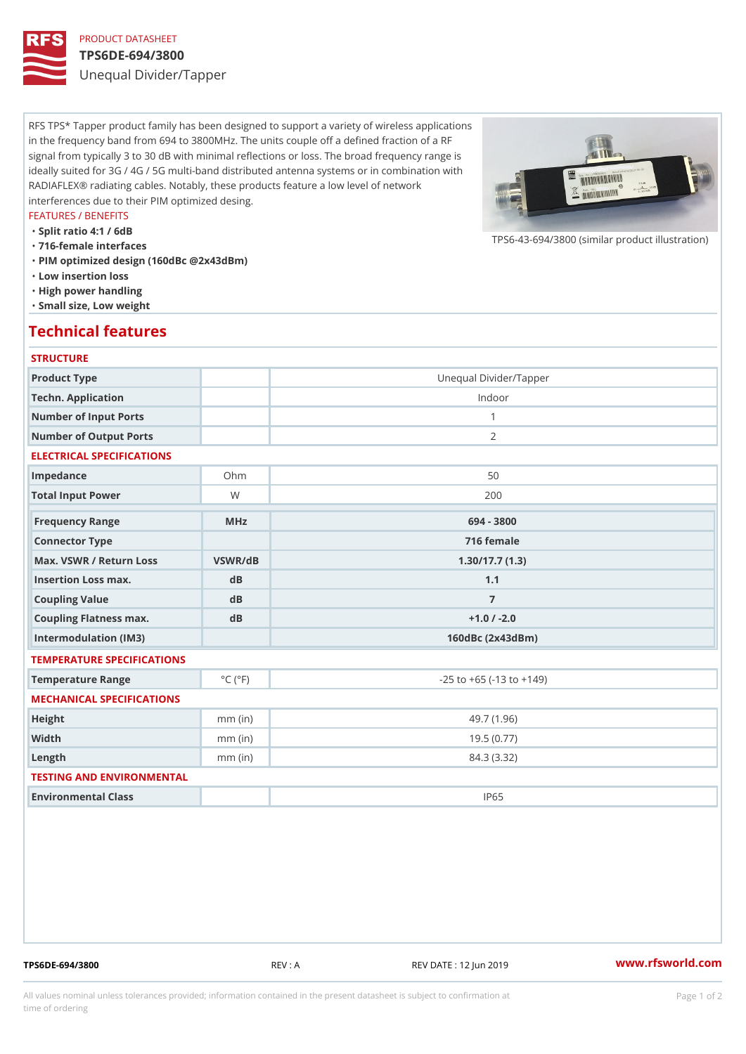# PRODUCT DATASHEET

### TPS6DE-694/3800

Unequal Divider/Tapper

RFS TPS\* Tapper product family has been designed to support a variety of wireless applications in the frequency band from 694 to 3800MHz. The units couple off a defined fraction of a RF signal from typically 3 to 30 dB with minimal reflections or loss. The broad frequency range is ideally suited for 3G / 4G / 5G multi-band distributed antenna systems or in combination with RADIAFLEX® radiating cables. Notably, these products feature a low level of network interferences due to their PIM optimized desing.

#### FEATURES / BENEFITS

"Split ratio 4:1 / 6dB

"716-female interfaces

"PIM optimized design (160dBc @2x43dBm)

- "Low insertion loss
- "High power handling
- "Small size, Low weight

## Technical features

### **STRUCTURE**

| Product Type                                     |                             | Unequal Divider/Tapper             |
|--------------------------------------------------|-----------------------------|------------------------------------|
| Techn. Application                               |                             | Indoor                             |
| Number of Input Ports                            |                             | $\mathbf{1}$                       |
| Number of Output Ports                           |                             | 2                                  |
| ELECTRICAL SPECIFICATIONS                        |                             |                                    |
| Impedance                                        | $Oh$ m                      | 50                                 |
| Total Input Power                                | W                           | 200                                |
| Frequency Range                                  | MHz                         | 694 - 3800                         |
| Connector Type                                   |                             | 716 female                         |
| Max. VSWR / Return LossVSWR/dB<br>1.30/17.7(1.3) |                             |                                    |
| Insertion Loss max.                              | $d$ B                       | 1.1                                |
| Coupling Value                                   | $d$ B                       | $\overline{7}$                     |
| Coupling Flatness max.                           | dB                          | $+1.0$ / -2.0                      |
| Intermodulation (IM3)                            |                             | $160dBc$ $(2x43dBm)$               |
| TEMPERATURE SPECIFICATIONS                       |                             |                                    |
| Temperature Range                                | $^{\circ}$ C ( $^{\circ}$ F | $-25$ to $+65$ ( $-13$ to $+149$ ) |
| MECHANICAL SPECIFICATIONS                        |                             |                                    |
| Height                                           | $mm$ (in)                   | 49.7(1.96)                         |
| Width                                            | $mm$ (in)                   | 19.5(0.77)                         |
| $L$ ength                                        | $mm$ (in)                   | 84.3 (3.32)                        |
| TESTING AND ENVIRONMENTAL                        |                             |                                    |
| Environmental Class                              |                             | IP65                               |

TPS6DE-694/3800 REV : A REV DATE : 12 Jun 2019 [www.](https://www.rfsworld.com)rfsworld.com

 $TPS6-43-694/3800$  (similar product

All values nominal unless tolerances provided; information contained in the present datasheet is subject to Pcapgeign manation time of ordering